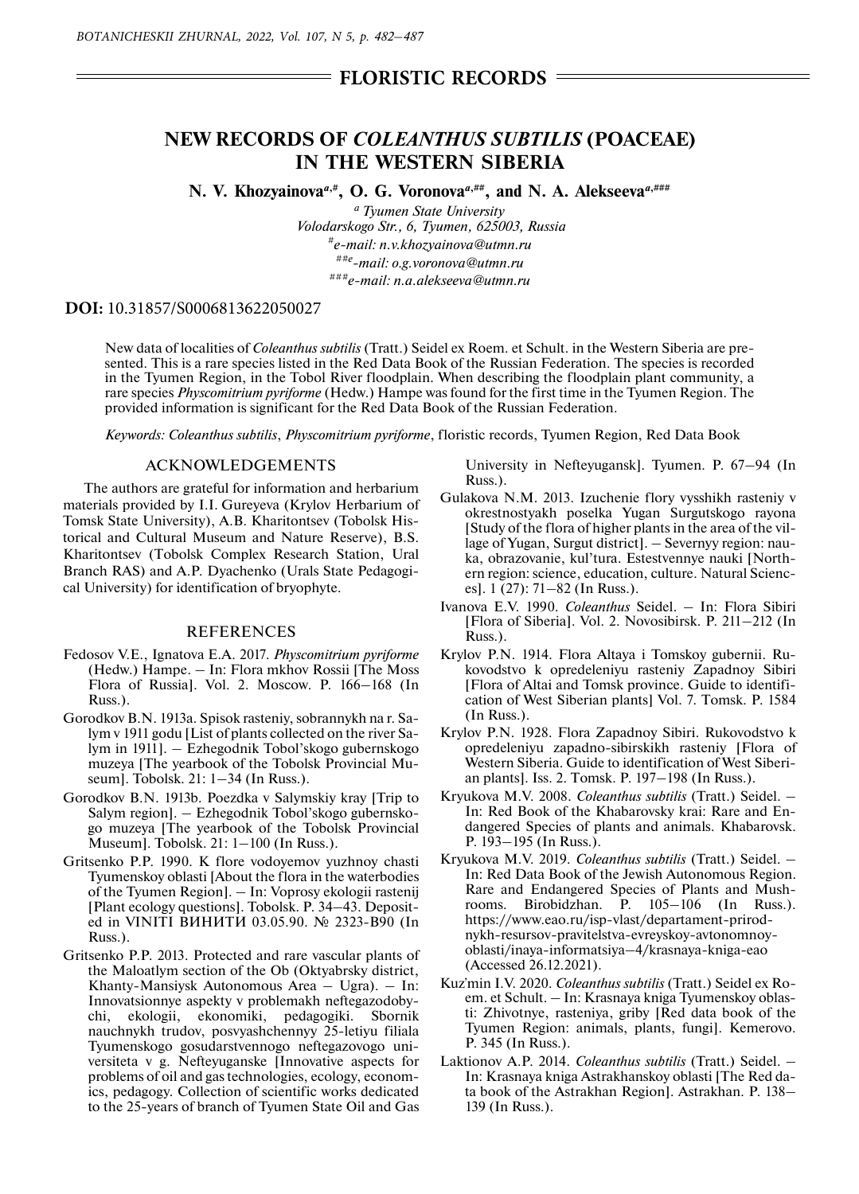## **FLORISTIC RECORDS**

# **NEW RECORDS OF** *COLEANTHUS SUBTILIS* **(POACEAE) IN THE WESTERN SIBERIA**

**N. V. Khozyainova**<sup>*a*,#</sup>, **O. G. Voronova**<sup>*a*,###</sup>, and N. A. Alekseeva<sup>*a*,###</sup>

*a Tyumen State University Volodarskogo Str., 6, Tyumen, 625003, Russia #e-mail: n.v.khozyainova@utmn.ru ##e-mail: o.g.voronova@utmn.ru ###e-mail: n.a.alekseeva@utmn.ru*

### **DOI:** 10.31857/S0006813622050027

New data of localities of *Coleanthus subtilis* (Tratt.) Seidel ex Roem. et Schult. in the Western Siberia are presented. This is a rare species listed in the Red Data Book of the Russian Federation. The species is recorded in the Tyumen Region, in the Tobol River floodplain. When describing the floodplain plant community, a rare species *Physcomitrium pyriforme* (Hedw.) Hampe was found for the first time in the Tyumen Region. The provided information is significant for the Red Data Book of the Russian Federation.

*Keywords: Coleanthus subtilis*, *Physcomitrium pyriforme*, floristic records, Tyumen Region, Red Data Book

#### ACKNOWLEDGEMENTS

The authors are grateful for information and herbarium materials provided by I.I. Gureyeva (Krylov Herbarium of Tomsk State University), A.B. Kharitontsev (Tobolsk Historical and Cultural Museum and Nature Reserve), B.S. Kharitontsev (Тobolsk Complex Research Station, Ural Branch RAS) and A.P. Dyachenko (Urals State Pedagogical University) for identification of bryophyte.

#### REFERENCES

- Fedosov V.E., Ignatova E.A. 2017. *Physcomitrium pyriforme* (Hedw.) Hampe. – In: Flora mkhov Rossii [The Moss Flora of Russia]. Vol. 2. Moscow. P. 166–168 (In Russ.).
- Gorodkov B.N. 1913a. Spisok rasteniy, sobrannykh na r. Salym v 1911 godu [List of plants collected on the river Salym in 1911]. – Ezhegodnik Tobol'skogo gubernskogo muzeya [The yearbook of the Tobolsk Provincial Museum]. Tobolsk. 21: 1–34 (In Russ.).
- Gorodkov B.N. 1913b. Poezdka v Salymskiy kray [Trip to Salym region]. – Ezhegodnik Tobol'skogo gubernskogo muzeya [The yearbook of the Tobolsk Provincial Museum]. Tobolsk. 21: 1–100 (In Russ.).
- Gritsenko P.P. 1990. K flore vodoyemov yuzhnoy chasti Tyumenskoy oblasti [About the flora in the waterbodies of the Tyumen Region]. – In: Voprosy ekologii rastenij [Plant ecology questions]. Tobolsk. P. 34–43. Deposited in VINITI ВИНИТИ 03.05.90. № 2323-В90 (In Russ.).
- Gritsenko P.P. 2013. Protected and rare vascular plants of the Maloatlym section of the Ob (Oktyabrsky district, Khanty-Mansiysk Autonomous Area – Ugra). – In: Innovatsionnye aspekty v problemakh neftegazodobychi, ekologii, ekonomiki, pedagogiki. Sbornik nauchnykh trudov, posvyashchennyy 25-letiyu filiala Tyumenskogo gosudarstvennogo neftegazovogo universiteta v g. Nefteyuganske [Innovative aspects for problems of oil and gas technologies, ecology, economics, pedagogy. Collection of scientific works dedicated to the 25-years of branch of Tyumen State Oil and Gas

University in Nefteyugansk]. Tyumen. P. 67–94 (In Russ.).

- Gulakova N.M. 2013. Izuchenie flory vysshikh rasteniy v okrestnostyakh poselka Yugan Surgutskogo rayona [Study of the flora of higher plants in the area of the village of Yugan, Surgut district]. – Severnyy region: nauka, obrazovanie, kul'tura. Estestvennye nauki [Northern region: science, education, culture. Natural Sciences]. 1 (27): 71–82 (In Russ.).
- Ivanova Е.V. 1990. *Coleanthus* Seidel. In: Flora Sibiri [Flora of Siberia]. Vol. 2. Novosibirsk. P. 211–212 (In Russ.).
- Krylov P.N. 1914. Flora Altaya i Tomskoy gubernii. Rukovodstvo k opredeleniyu rasteniy Zapadnoy Sibiri [Flora of Altai and Tomsk province. Guide to identification of West Siberian plants] Vol. 7. Тomsk. P. 1584 (In Russ.).
- Krylov P.N. 1928. Flora Zapadnoy Sibiri. Rukovodstvo k opredeleniyu zapadno-sibirskikh rasteniy [Flora of Western Siberia. Guide to identification of West Siberian plants]. Iss. 2. Тomsk. P. 197–198 (In Russ.).
- Kryukova М.V. 2008. *Coleanthus subtilis* (Tratt.) Seidel. In: Red Book of the Khabarovsky krai: Rare and Endangered Species of plants and animals. Khabarovsk. P. 193–195 (In Russ.).
- Kryukova М.V. 2019. *Coleanthus subtilis* (Tratt.) Seidel. In: Red Data Book of the Jewish Autonomous Region. Rare and Endangered Species of Plants and Mushrooms. Birobidzhan. P. 105–106 (In Russ.). https://www.eao.ru/isp-vlast/departament-prirodnykh-resursov-pravitelstva-evreyskoy-avtonomnoyoblasti/inaya-informatsiya–4/krasnaya-kniga-eao (Accessed 26.12.2021).
- Kuz'min I.V. 2020. *Coleanthus subtilis* (Tratt.) Seidel ex Roem. et Schult. – In: Krasnaya kniga Tyumenskoy oblasti: Zhivotnye, rasteniya, griby [Red data book of the Tyumen Region: animals, plants, fungi]. Kemerovo. P. 345 (In Russ.).
- Laktionov А.P. 2014. *Coleanthus subtilis* (Tratt.) Seidel. In: Krasnaya kniga Astrakhanskoy oblasti [The Red data book of the Astrakhan Region]. Astrakhan. P. 138– 139 (In Russ.).